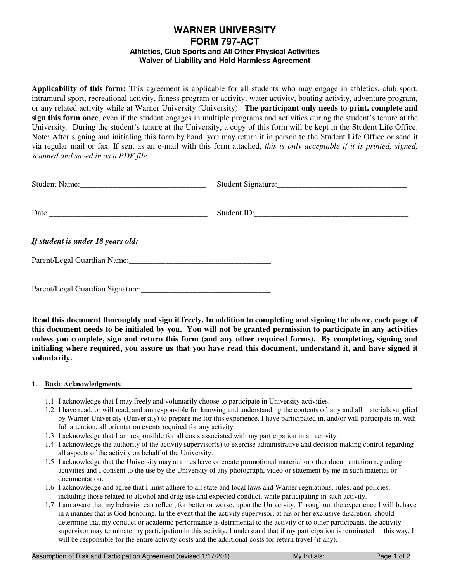# **WARNER UNIVERSITY FORM 797-ACT Athletics, Club Sports and All Other Physical Activities Waiver of Liability and Hold Harmless Agreement**

**Applicability of this form:** This agreement is applicable for all students who may engage in athletics, club sport, intramural sport, recreational activity, fitness program or activity, water activity, boating activity, adventure program, or any related activity while at Warner University (University). **The participant only needs to print, complete and sign this form once**, even if the student engages in multiple programs and activities during the student's tenure at the University. During the student's tenure at the University, a copy of this form will be kept in the Student Life Office. Note: After signing and initialing this form by hand, you may return it in person to the Student Life Office or send it via regular mail or fax. If sent as an e-mail with this form attached, *this is only acceptable if it is printed, signed, scanned and saved in as a PDF file.* 

|                                   | Student ID: |
|-----------------------------------|-------------|
| If student is under 18 years old: |             |
|                                   |             |
|                                   |             |

**Read this document thoroughly and sign it freely. In addition to completing and signing the above, each page of this document needs to be initialed by you. You will not be granted permission to participate in any activities unless you complete, sign and return this form (and any other required forms). By completing, signing and initialing where required, you assure us that you have read this document, understand it, and have signed it voluntarily.** 

## **1. Basic Acknowledgments**

- 1.1 I acknowledge that I may freely and voluntarily choose to participate in University activities.
- 1.2 I have read, or will read, and am responsible for knowing and understanding the contents of, any and all materials supplied by Warner University (University) to prepare me for this experience. I have participated in, and/or will participate in, with full attention, all orientation events required for any activity.
- 1.3 I acknowledge that I am responsible for all costs associated with my participation in an activity.
- 1.4 I acknowledge the authority of the activity supervisor(s) to exercise administrative and decision making control regarding all aspects of the activity on behalf of the University.
- 1.5 I acknowledge that the University may at times have or create promotional material or other documentation regarding activities and I consent to the use by the University of any photograph, video or statement by me in such material or documentation.
- 1.6 I acknowledge and agree that I must adhere to all state and local laws and Warner regulations, rules, and policies, including those related to alcohol and drug use and expected conduct, while participating in such activity.
- 1.7 I am aware that my behavior can reflect, for better or worse, upon the University. Throughout the experience I will behave in a manner that is God honoring. In the event that the activity supervisor, at his or her exclusive discretion, should determine that my conduct or academic performance is detrimental to the activity or to other participants, the activity supervisor may terminate my participation in this activity. I understand that if my participation is terminated in this way, I will be responsible for the entire activity costs and the additional costs for return travel (if any).